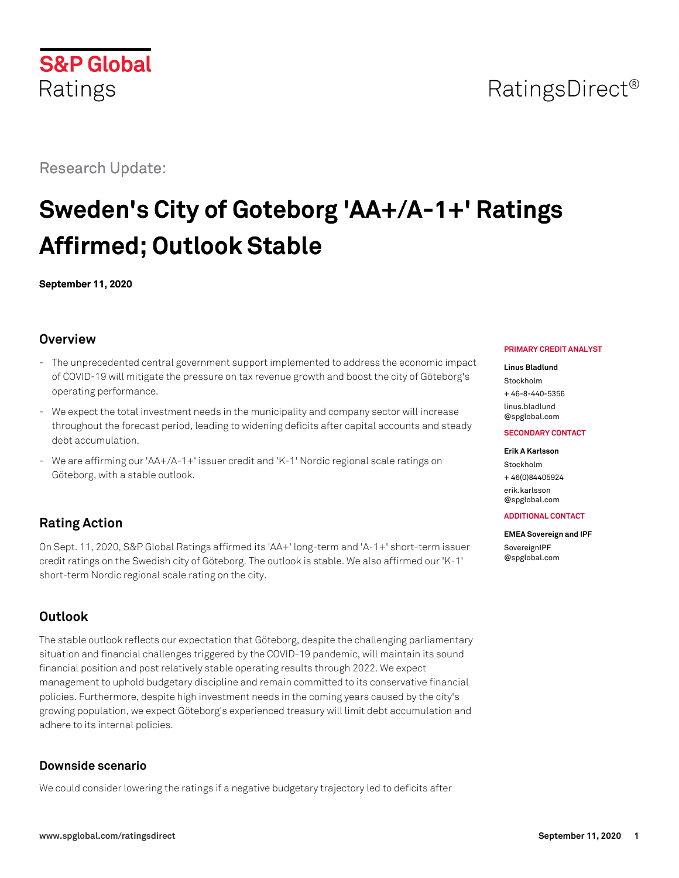# **S&P Global**

#### Research Update:

Ratings

## **Sweden's City of Goteborg 'AA+/A-1+' Ratings Affirmed; Outlook Stable**

**September 11, 2020**

#### **Overview**

- The unprecedented central government support implemented to address the economic impact of COVID-19 will mitigate the pressure on tax revenue growth and boost the city of Göteborg's operating performance.
- We expect the total investment needs in the municipality and company sector will increase throughout the forecast period, leading to widening deficits after capital accounts and steady debt accumulation.
- We are affirming our 'AA+/A-1+' issuer credit and 'K-1' Nordic regional scale ratings on Göteborg, with a stable outlook.

#### **Rating Action**

On Sept. 11, 2020, S&P Global Ratings affirmed its 'AA+' long-term and 'A-1+' short-term issuer credit ratings on the Swedish city of Göteborg. The outlook is stable. We also affirmed our 'K-1' short-term Nordic regional scale rating on the city.

#### **Outlook**

The stable outlook reflects our expectation that Göteborg, despite the challenging parliamentary situation and financial challenges triggered by the COVID-19 pandemic, will maintain its sound financial position and post relatively stable operating results through 2022. We expect management to uphold budgetary discipline and remain committed to its conservative financial policies. Furthermore, despite high investment needs in the coming years caused by the city's growing population, we expect Göteborg's experienced treasury will limit debt accumulation and adhere to its internal policies.

#### **Downside scenario**

We could consider lowering the ratings if a negative budgetary trajectory led to deficits after

#### **PRIMARY CREDIT ANALYST**

#### **Linus Bladlund**

Stockholm  $+ 46 - 8 - 440 - 5356$ 

[linus.bladlund](mailto:linus.bladlund@spglobal.com) [@spglobal.com](mailto:linus.bladlund@spglobal.com)

#### **SECONDARY CONTACT**

#### **Erik A Karlsson**

Stockholm

+ 46(0)84405924 [erik.karlsson](mailto:erik.karlsson@spglobal.com)

[@spglobal.com](mailto:erik.karlsson@spglobal.com)

[@spglobal.com](mailto:SovereignIPF@spglobal.com)

#### **ADDITIONAL CONTACT**

**EMEA Sovereign and IPF** [SovereignIPF](mailto:SovereignIPF@spglobal.com)

### RatingsDirect<sup>®</sup>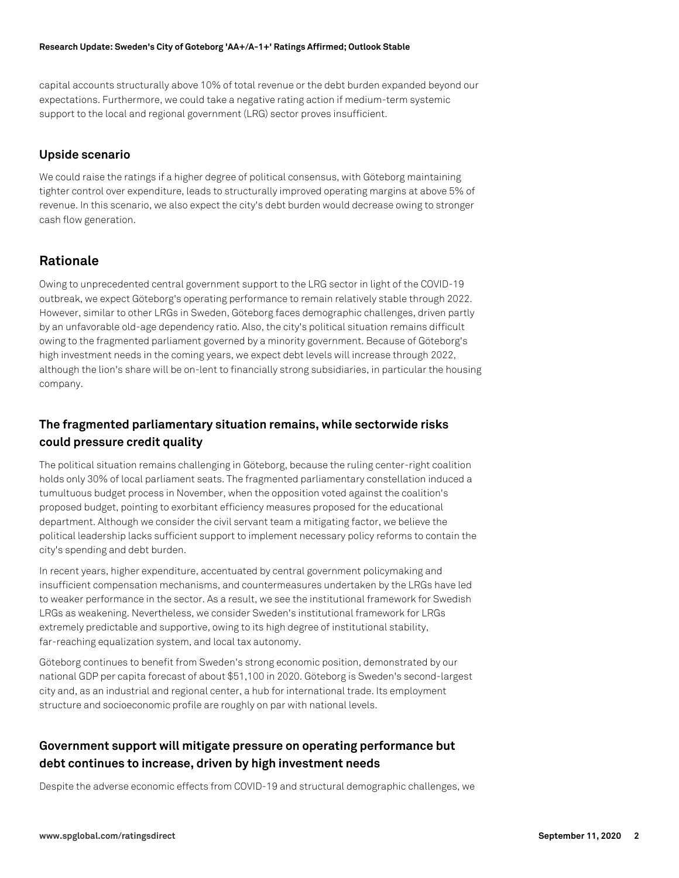capital accounts structurally above 10% of total revenue or the debt burden expanded beyond our expectations. Furthermore, we could take a negative rating action if medium-term systemic support to the local and regional government (LRG) sector proves insufficient.

#### **Upside scenario**

We could raise the ratings if a higher degree of political consensus, with Göteborg maintaining tighter control over expenditure, leads to structurally improved operating margins at above 5% of revenue. In this scenario, we also expect the city's debt burden would decrease owing to stronger cash flow generation.

#### **Rationale**

Owing to unprecedented central government support to the LRG sector in light of the COVID-19 outbreak, we expect Göteborg's operating performance to remain relatively stable through 2022. However, similar to other LRGs in Sweden, Göteborg faces demographic challenges, driven partly by an unfavorable old-age dependency ratio. Also, the city's political situation remains difficult owing to the fragmented parliament governed by a minority government. Because of Göteborg's high investment needs in the coming years, we expect debt levels will increase through 2022, although the lion's share will be on-lent to financially strong subsidiaries, in particular the housing company.

#### **The fragmented parliamentary situation remains, while sectorwide risks could pressure credit quality**

The political situation remains challenging in Göteborg, because the ruling center-right coalition holds only 30% of local parliament seats. The fragmented parliamentary constellation induced a tumultuous budget process in November, when the opposition voted against the coalition's proposed budget, pointing to exorbitant efficiency measures proposed for the educational department. Although we consider the civil servant team a mitigating factor, we believe the political leadership lacks sufficient support to implement necessary policy reforms to contain the city's spending and debt burden.

In recent years, higher expenditure, accentuated by central government policymaking and insufficient compensation mechanisms, and countermeasures undertaken by the LRGs have led to weaker performance in the sector. As a result, we see the institutional framework for Swedish LRGs as weakening. Nevertheless, we consider Sweden's institutional framework for LRGs extremely predictable and supportive, owing to its high degree of institutional stability, far-reaching equalization system, and local tax autonomy.

Göteborg continues to benefit from Sweden's strong economic position, demonstrated by our national GDP per capita forecast of about \$51,100 in 2020. Göteborg is Sweden's second-largest city and, as an industrial and regional center, a hub for international trade. Its employment structure and socioeconomic profile are roughly on par with national levels.

#### **Government support will mitigate pressure on operating performance but debt continues to increase, driven by high investment needs**

Despite the adverse economic effects from COVID-19 and structural demographic challenges, we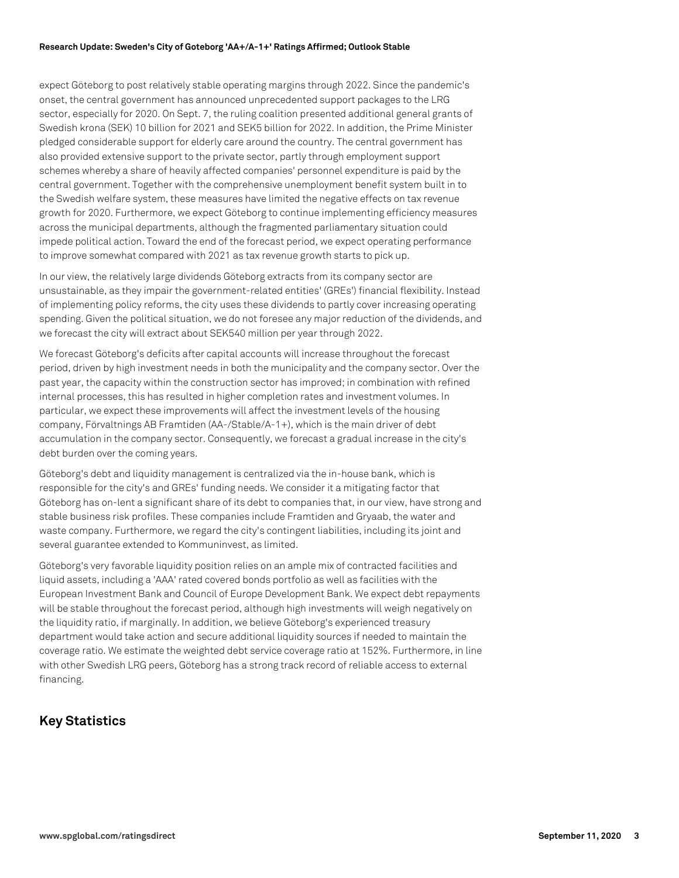#### **Research Update: Sweden's City of Goteborg 'AA+/A-1+' Ratings Affirmed; Outlook Stable**

expect Göteborg to post relatively stable operating margins through 2022. Since the pandemic's onset, the central government has announced unprecedented support packages to the LRG sector, especially for 2020. On Sept. 7, the ruling coalition presented additional general grants of Swedish krona (SEK) 10 billion for 2021 and SEK5 billion for 2022. In addition, the Prime Minister pledged considerable support for elderly care around the country. The central government has also provided extensive support to the private sector, partly through employment support schemes whereby a share of heavily affected companies' personnel expenditure is paid by the central government. Together with the comprehensive unemployment benefit system built in to the Swedish welfare system, these measures have limited the negative effects on tax revenue growth for 2020. Furthermore, we expect Göteborg to continue implementing efficiency measures across the municipal departments, although the fragmented parliamentary situation could impede political action. Toward the end of the forecast period, we expect operating performance to improve somewhat compared with 2021 as tax revenue growth starts to pick up.

In our view, the relatively large dividends Göteborg extracts from its company sector are unsustainable, as they impair the government-related entities' (GREs') financial flexibility. Instead of implementing policy reforms, the city uses these dividends to partly cover increasing operating spending. Given the political situation, we do not foresee any major reduction of the dividends, and we forecast the city will extract about SEK540 million per year through 2022.

We forecast Göteborg's deficits after capital accounts will increase throughout the forecast period, driven by high investment needs in both the municipality and the company sector. Over the past year, the capacity within the construction sector has improved; in combination with refined internal processes, this has resulted in higher completion rates and investment volumes. In particular, we expect these improvements will affect the investment levels of the housing company, Förvaltnings AB Framtiden (AA-/Stable/A-1+), which is the main driver of debt accumulation in the company sector. Consequently, we forecast a gradual increase in the city's debt burden over the coming years.

Göteborg's debt and liquidity management is centralized via the in-house bank, which is responsible for the city's and GREs' funding needs. We consider it a mitigating factor that Göteborg has on-lent a significant share of its debt to companies that, in our view, have strong and stable business risk profiles. These companies include Framtiden and Gryaab, the water and waste company. Furthermore, we regard the city's contingent liabilities, including its joint and several guarantee extended to Kommuninvest, as limited.

Göteborg's very favorable liquidity position relies on an ample mix of contracted facilities and liquid assets, including a 'AAA' rated covered bonds portfolio as well as facilities with the European Investment Bank and Council of Europe Development Bank. We expect debt repayments will be stable throughout the forecast period, although high investments will weigh negatively on the liquidity ratio, if marginally. In addition, we believe Göteborg's experienced treasury department would take action and secure additional liquidity sources if needed to maintain the coverage ratio. We estimate the weighted debt service coverage ratio at 152%. Furthermore, in line with other Swedish LRG peers, Göteborg has a strong track record of reliable access to external financing.

#### **Key Statistics**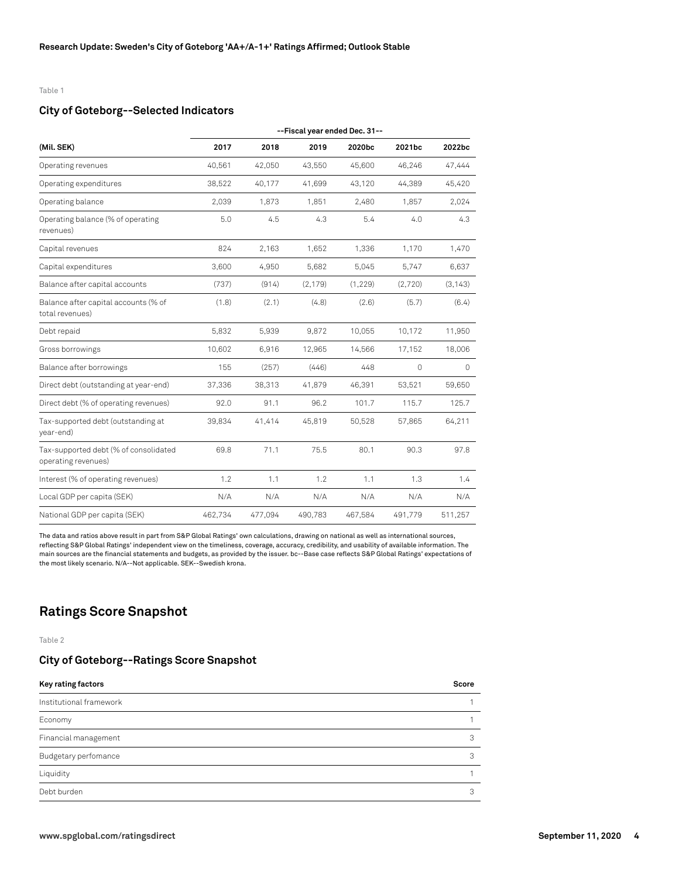#### Table 1

#### **City of Goteborg--Selected Indicators**

| (Mil. SEK)                                                   | --Fiscal year ended Dec. 31-- |         |          |          |         |          |  |
|--------------------------------------------------------------|-------------------------------|---------|----------|----------|---------|----------|--|
|                                                              | 2017                          | 2018    | 2019     | 2020bc   | 2021bc  | 2022bc   |  |
| Operating revenues                                           | 40,561                        | 42,050  | 43,550   | 45,600   | 46,246  | 47,444   |  |
| Operating expenditures                                       | 38,522                        | 40,177  | 41.699   | 43,120   | 44.389  | 45,420   |  |
| Operating balance                                            | 2,039                         | 1,873   | 1,851    | 2,480    | 1,857   | 2,024    |  |
| Operating balance (% of operating<br>revenues)               | 5.0                           | 4.5     | 4.3      | 5.4      | 4.0     | 4.3      |  |
| Capital revenues                                             | 824                           | 2,163   | 1,652    | 1,336    | 1,170   | 1,470    |  |
| Capital expenditures                                         | 3,600                         | 4,950   | 5,682    | 5,045    | 5,747   | 6,637    |  |
| Balance after capital accounts                               | (737)                         | (914)   | (2, 179) | (1, 229) | (2,720) | (3, 143) |  |
| Balance after capital accounts (% of<br>total revenues)      | (1.8)                         | (2.1)   | (4.8)    | (2.6)    | (5.7)   | (6.4)    |  |
| Debt repaid                                                  | 5,832                         | 5,939   | 9,872    | 10,055   | 10,172  | 11,950   |  |
| Gross borrowings                                             | 10,602                        | 6,916   | 12,965   | 14,566   | 17,152  | 18,006   |  |
| Balance after borrowings                                     | 155                           | (257)   | (446)    | 448      | $\circ$ | 0        |  |
| Direct debt (outstanding at year-end)                        | 37,336                        | 38,313  | 41,879   | 46,391   | 53,521  | 59,650   |  |
| Direct debt (% of operating revenues)                        | 92.0                          | 91.1    | 96.2     | 101.7    | 115.7   | 125.7    |  |
| Tax-supported debt (outstanding at<br>year-end)              | 39,834                        | 41,414  | 45,819   | 50,528   | 57,865  | 64,211   |  |
| Tax-supported debt (% of consolidated<br>operating revenues) | 69.8                          | 71.1    | 75.5     | 80.1     | 90.3    | 97.8     |  |
| Interest (% of operating revenues)                           | 1.2                           | 1.1     | 1.2      | 1.1      | 1.3     | 1.4      |  |
| Local GDP per capita (SEK)                                   | N/A                           | N/A     | N/A      | N/A      | N/A     | N/A      |  |
| National GDP per capita (SEK)                                | 462,734                       | 477,094 | 490,783  | 467,584  | 491,779 | 511,257  |  |

The data and ratios above result in part from S&P Global Ratings' own calculations, drawing on national as well as international sources, reflecting S&P Global Ratings' independent view on the timeliness, coverage, accuracy, credibility, and usability of available information. The main sources are the financial statements and budgets, as provided by the issuer. bc--Base case reflects S&P Global Ratings' expectations of the most likely scenario. N/A--Not applicable. SEK--Swedish krona.

#### **Ratings Score Snapshot**

Table 2

#### **City of Goteborg--Ratings Score Snapshot**

| Key rating factors      | Score |
|-------------------------|-------|
| Institutional framework |       |
| Economy                 |       |
| Financial management    |       |
| Budgetary perfomance    | 3     |
| Liquidity               |       |
| Debt burden             | 3     |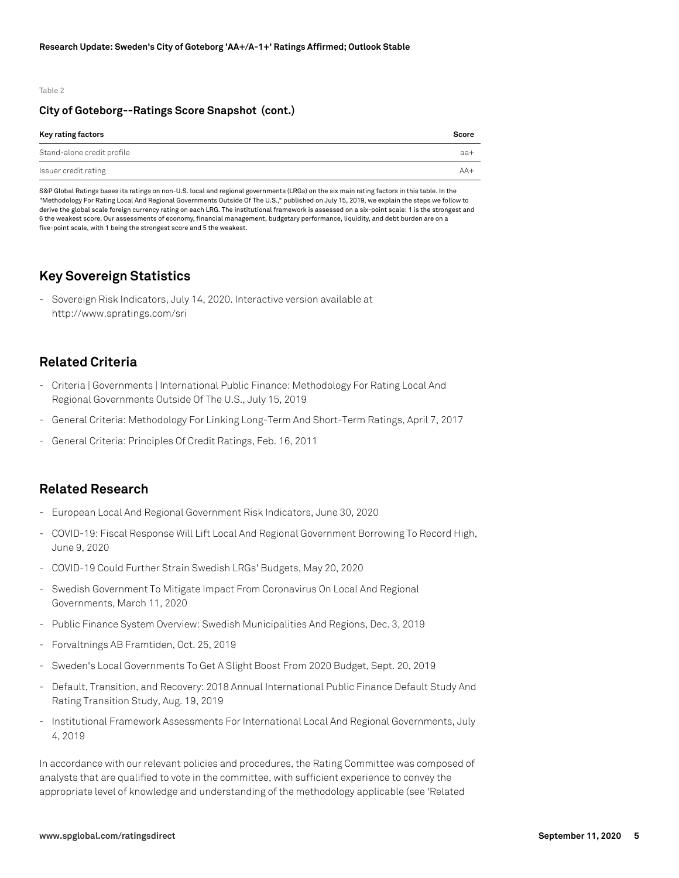#### Table 2

#### **City of Goteborg--Ratings Score Snapshot (cont.)**

| Key rating factors         | Score |
|----------------------------|-------|
| Stand-alone credit profile | $aa+$ |
| Issuer credit rating       | $AA+$ |

S&P Global Ratings bases its ratings on non-U.S. local and regional governments (LRGs) on the six main rating factors in this table. In the "Methodology For Rating Local And Regional Governments Outside Of The U.S.," published on July 15, 2019, we explain the steps we follow to derive the global scale foreign currency rating on each LRG. The institutional framework is assessed on a six-point scale: 1 is the strongest and 6 the weakest score. Our assessments of economy, financial management, budgetary performance, liquidity, and debt burden are on a five-point scale, with 1 being the strongest score and 5 the weakest.

#### **Key Sovereign Statistics**

- Sovereign Risk Indicators, July 14, 2020. Interactive version available at http://www.spratings.com/sri

#### **Related Criteria**

- Criteria | Governments | International Public Finance: Methodology For Rating Local And Regional Governments Outside Of The U.S., July 15, 2019
- General Criteria: Methodology For Linking Long-Term And Short-Term Ratings, April 7, 2017
- General Criteria: Principles Of Credit Ratings, Feb. 16, 2011

#### **Related Research**

- European Local And Regional Government Risk Indicators, June 30, 2020
- COVID-19: Fiscal Response Will Lift Local And Regional Government Borrowing To Record High, June 9, 2020
- COVID-19 Could Further Strain Swedish LRGs' Budgets, May 20, 2020
- Swedish Government To Mitigate Impact From Coronavirus On Local And Regional Governments, March 11, 2020
- Public Finance System Overview: Swedish Municipalities And Regions, Dec. 3, 2019
- Forvaltnings AB Framtiden, Oct. 25, 2019
- Sweden's Local Governments To Get A Slight Boost From 2020 Budget, Sept. 20, 2019
- Default, Transition, and Recovery: 2018 Annual International Public Finance Default Study And Rating Transition Study, Aug. 19, 2019
- Institutional Framework Assessments For International Local And Regional Governments, July 4, 2019

In accordance with our relevant policies and procedures, the Rating Committee was composed of analysts that are qualified to vote in the committee, with sufficient experience to convey the appropriate level of knowledge and understanding of the methodology applicable (see 'Related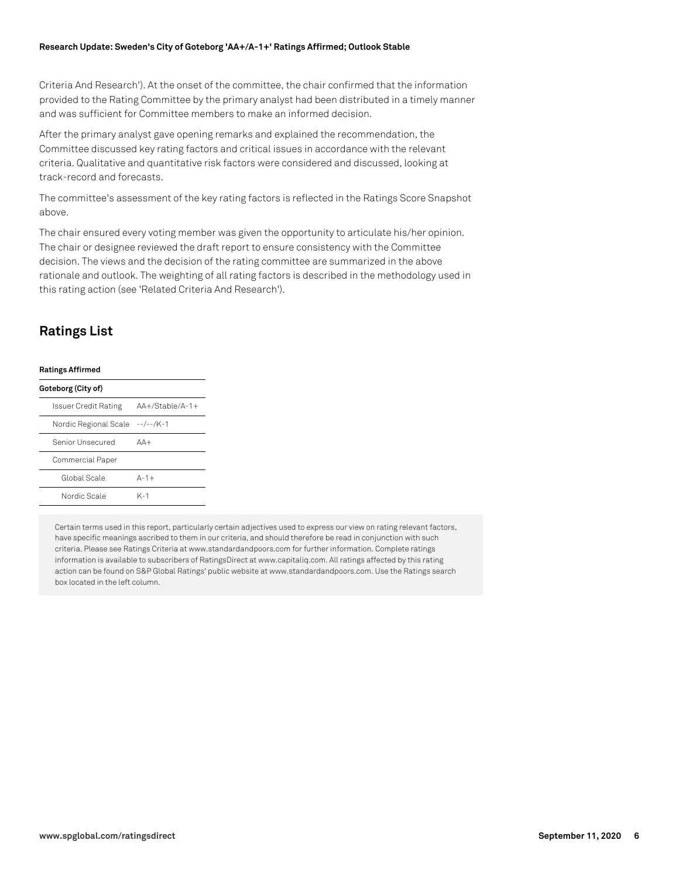#### **Research Update: Sweden's City of Goteborg 'AA+/A-1+' Ratings Affirmed; Outlook Stable**

Criteria And Research'). At the onset of the committee, the chair confirmed that the information provided to the Rating Committee by the primary analyst had been distributed in a timely manner and was sufficient for Committee members to make an informed decision.

After the primary analyst gave opening remarks and explained the recommendation, the Committee discussed key rating factors and critical issues in accordance with the relevant criteria. Qualitative and quantitative risk factors were considered and discussed, looking at track-record and forecasts.

The committee's assessment of the key rating factors is reflected in the Ratings Score Snapshot above.

The chair ensured every voting member was given the opportunity to articulate his/her opinion. The chair or designee reviewed the draft report to ensure consistency with the Committee decision. The views and the decision of the rating committee are summarized in the above rationale and outlook. The weighting of all rating factors is described in the methodology used in this rating action (see 'Related Criteria And Research').

#### **Ratings List**

| <b>Ratings Affirmed</b>         |                   |  |  |  |  |
|---------------------------------|-------------------|--|--|--|--|
| Goteborg (City of)              |                   |  |  |  |  |
| Issuer Credit Rating            | $AA+/Stable/A-1+$ |  |  |  |  |
| Nordic Regional Scale --/--/K-1 |                   |  |  |  |  |
| Senior Unsecured                | $\Delta\Delta +$  |  |  |  |  |
| Commercial Paper                |                   |  |  |  |  |
| Global Scale                    | $A-1+$            |  |  |  |  |
| Nordic Scale                    | K-1               |  |  |  |  |

Certain terms used in this report, particularly certain adjectives used to express our view on rating relevant factors, have specific meanings ascribed to them in our criteria, and should therefore be read in conjunction with such criteria. Please see Ratings Criteria at www.standardandpoors.com for further information. Complete ratings information is available to subscribers of RatingsDirect at www.capitaliq.com. All ratings affected by this rating action can be found on S&P Global Ratings' public website at www.standardandpoors.com. Use the Ratings search box located in the left column.